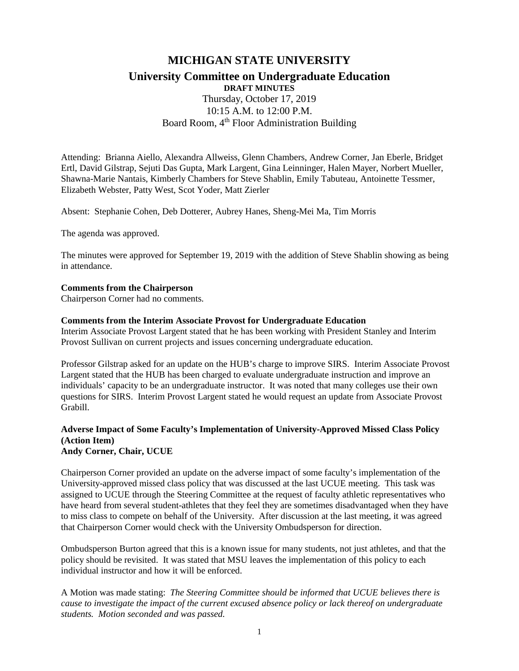# **MICHIGAN STATE UNIVERSITY University Committee on Undergraduate Education DRAFT MINUTES** Thursday, October 17, 2019 10:15 A.M. to 12:00 P.M. Board Room, 4<sup>th</sup> Floor Administration Building

Attending: Brianna Aiello, Alexandra Allweiss, Glenn Chambers, Andrew Corner, Jan Eberle, Bridget Ertl, David Gilstrap, Sejuti Das Gupta, Mark Largent, Gina Leinninger, Halen Mayer, Norbert Mueller, Shawna-Marie Nantais, Kimberly Chambers for Steve Shablin, Emily Tabuteau, Antoinette Tessmer, Elizabeth Webster, Patty West, Scot Yoder, Matt Zierler

Absent: Stephanie Cohen, Deb Dotterer, Aubrey Hanes, Sheng-Mei Ma, Tim Morris

The agenda was approved.

The minutes were approved for September 19, 2019 with the addition of Steve Shablin showing as being in attendance.

#### **Comments from the Chairperson**

Chairperson Corner had no comments.

#### **Comments from the Interim Associate Provost for Undergraduate Education**

Interim Associate Provost Largent stated that he has been working with President Stanley and Interim Provost Sullivan on current projects and issues concerning undergraduate education.

Professor Gilstrap asked for an update on the HUB's charge to improve SIRS. Interim Associate Provost Largent stated that the HUB has been charged to evaluate undergraduate instruction and improve an individuals' capacity to be an undergraduate instructor. It was noted that many colleges use their own questions for SIRS. Interim Provost Largent stated he would request an update from Associate Provost Grabill.

### **Adverse Impact of Some Faculty's Implementation of University-Approved Missed Class Policy (Action Item) Andy Corner, Chair, UCUE**

Chairperson Corner provided an update on the adverse impact of some faculty's implementation of the

University-approved missed class policy that was discussed at the last UCUE meeting. This task was assigned to UCUE through the Steering Committee at the request of faculty athletic representatives who have heard from several student-athletes that they feel they are sometimes disadvantaged when they have to miss class to compete on behalf of the University. After discussion at the last meeting, it was agreed that Chairperson Corner would check with the University Ombudsperson for direction.

Ombudsperson Burton agreed that this is a known issue for many students, not just athletes, and that the policy should be revisited. It was stated that MSU leaves the implementation of this policy to each individual instructor and how it will be enforced.

A Motion was made stating: *The Steering Committee should be informed that UCUE believes there is cause to investigate the impact of the current excused absence policy or lack thereof on undergraduate students. Motion seconded and was passed.*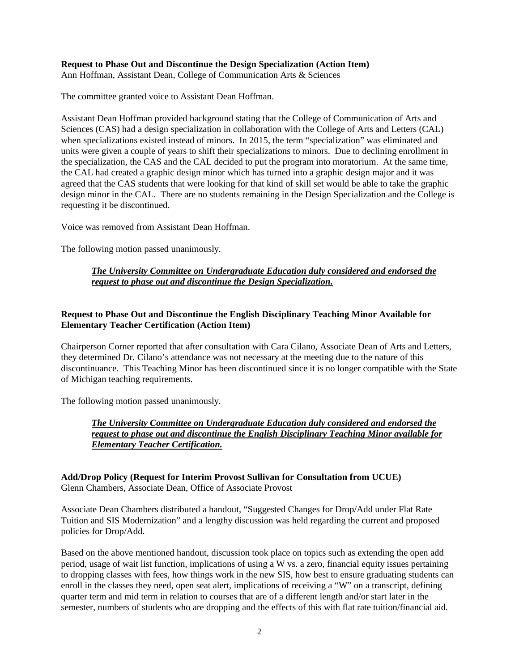### **Request to Phase Out and Discontinue the Design Specialization (Action Item)**

Ann Hoffman, Assistant Dean, College of Communication Arts & Sciences

The committee granted voice to Assistant Dean Hoffman.

Assistant Dean Hoffman provided background stating that the College of Communication of Arts and Sciences (CAS) had a design specialization in collaboration with the College of Arts and Letters (CAL) when specializations existed instead of minors. In 2015, the term "specialization" was eliminated and units were given a couple of years to shift their specializations to minors. Due to declining enrollment in the specialization, the CAS and the CAL decided to put the program into moratorium. At the same time, the CAL had created a graphic design minor which has turned into a graphic design major and it was agreed that the CAS students that were looking for that kind of skill set would be able to take the graphic design minor in the CAL. There are no students remaining in the Design Specialization and the College is requesting it be discontinued.

Voice was removed from Assistant Dean Hoffman.

The following motion passed unanimously.

## *The University Committee on Undergraduate Education duly considered and endorsed the request to phase out and discontinue the Design Specialization.*

# **Request to Phase Out and Discontinue the English Disciplinary Teaching Minor Available for Elementary Teacher Certification (Action Item)**

Chairperson Corner reported that after consultation with Cara Cilano, Associate Dean of Arts and Letters, they determined Dr. Cilano's attendance was not necessary at the meeting due to the nature of this discontinuance. This Teaching Minor has been discontinued since it is no longer compatible with the State of Michigan teaching requirements.

The following motion passed unanimously.

# *The University Committee on Undergraduate Education duly considered and endorsed the request to phase out and discontinue the English Disciplinary Teaching Minor available for Elementary Teacher Certification.*

#### **Add/Drop Policy (Request for Interim Provost Sullivan for Consultation from UCUE)** Glenn Chambers, Associate Dean, Office of Associate Provost

Associate Dean Chambers distributed a handout, "Suggested Changes for Drop/Add under Flat Rate Tuition and SIS Modernization" and a lengthy discussion was held regarding the current and proposed policies for Drop/Add.

Based on the above mentioned handout, discussion took place on topics such as extending the open add period, usage of wait list function, implications of using a W vs. a zero, financial equity issues pertaining to dropping classes with fees, how things work in the new SIS, how best to ensure graduating students can enroll in the classes they need, open seat alert, implications of receiving a "W" on a transcript, defining quarter term and mid term in relation to courses that are of a different length and/or start later in the semester, numbers of students who are dropping and the effects of this with flat rate tuition/financial aid.